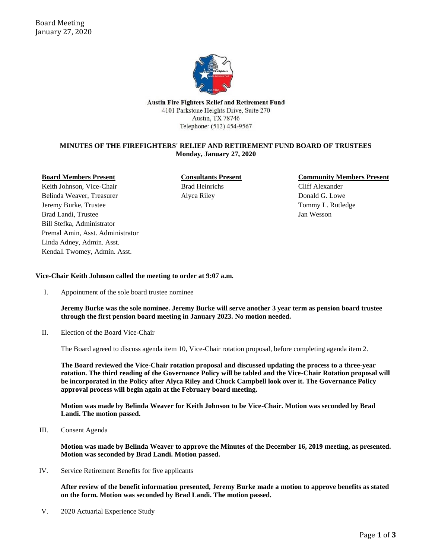

**Austin Fire Fighters Relief and Retirement Fund** 4101 Parkstone Heights Drive, Suite 270 Austin, TX 78746 Telephone: (512) 454-9567

# **MINUTES OF THE FIREFIGHTERS' RELIEF AND RETIREMENT FUND BOARD OF TRUSTEES Monday, January 27, 2020**

#### **Board Members Present**

Keith Johnson, Vice-Chair Belinda Weaver, Treasurer Jeremy Burke, Trustee Brad Landi, Trustee Bill Stefka, Administrator Premal Amin, Asst. Administrator Linda Adney, Admin. Asst. Kendall Twomey, Admin. Asst.

**Consultants Present** Brad Heinrichs Alyca Riley

## **Community Members Present**

Cliff Alexander Donald G. Lowe Tommy L. Rutledge Jan Wesson

## **Vice-Chair Keith Johnson called the meeting to order at 9:07 a.m.**

I. Appointment of the sole board trustee nominee

**Jeremy Burke was the sole nominee. Jeremy Burke will serve another 3 year term as pension board trustee through the first pension board meeting in January 2023. No motion needed.**

II. Election of the Board Vice-Chair

The Board agreed to discuss agenda item 10, Vice-Chair rotation proposal, before completing agenda item 2.

**The Board reviewed the Vice-Chair rotation proposal and discussed updating the process to a three-year rotation. The third reading of the Governance Policy will be tabled and the Vice-Chair Rotation proposal will be incorporated in the Policy after Alyca Riley and Chuck Campbell look over it. The Governance Policy approval process will begin again at the February board meeting.**

**Motion was made by Belinda Weaver for Keith Johnson to be Vice-Chair. Motion was seconded by Brad Landi. The motion passed.**

III. Consent Agenda

**Motion was made by Belinda Weaver to approve the Minutes of the December 16, 2019 meeting, as presented. Motion was seconded by Brad Landi. Motion passed.**

IV. Service Retirement Benefits for five applicants

**After review of the benefit information presented, Jeremy Burke made a motion to approve benefits as stated on the form. Motion was seconded by Brad Landi. The motion passed.**

V. 2020 Actuarial Experience Study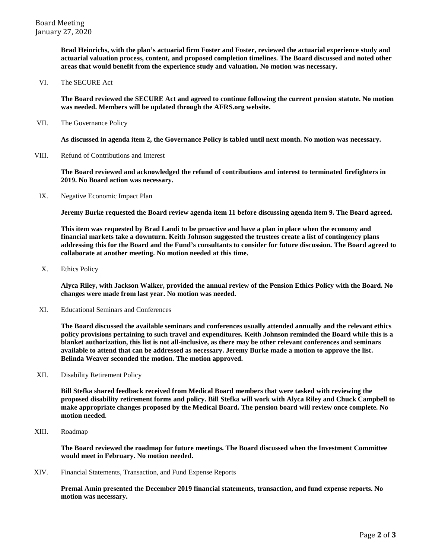**Brad Heinrichs, with the plan's actuarial firm Foster and Foster, reviewed the actuarial experience study and actuarial valuation process, content, and proposed completion timelines. The Board discussed and noted other areas that would benefit from the experience study and valuation. No motion was necessary.**

VI. The SECURE Act

**The Board reviewed the SECURE Act and agreed to continue following the current pension statute. No motion was needed. Members will be updated through the AFRS.org website.**

VII. The Governance Policy

**As discussed in agenda item 2, the Governance Policy is tabled until next month. No motion was necessary.**

VIII. Refund of Contributions and Interest

**The Board reviewed and acknowledged the refund of contributions and interest to terminated firefighters in 2019. No Board action was necessary.**

IX. Negative Economic Impact Plan

**Jeremy Burke requested the Board review agenda item 11 before discussing agenda item 9. The Board agreed.** 

**This item was requested by Brad Landi to be proactive and have a plan in place when the economy and financial markets take a downturn. Keith Johnson suggested the trustees create a list of contingency plans addressing this for the Board and the Fund's consultants to consider for future discussion. The Board agreed to collaborate at another meeting. No motion needed at this time.**

X. Ethics Policy

**Alyca Riley, with Jackson Walker, provided the annual review of the Pension Ethics Policy with the Board. No changes were made from last year. No motion was needed.**

XI. Educational Seminars and Conferences

**The Board discussed the available seminars and conferences usually attended annually and the relevant ethics policy provisions pertaining to such travel and expenditures. Keith Johnson reminded the Board while this is a blanket authorization, this list is not all-inclusive, as there may be other relevant conferences and seminars available to attend that can be addressed as necessary. Jeremy Burke made a motion to approve the list. Belinda Weaver seconded the motion. The motion approved.**

XII. Disability Retirement Policy

**Bill Stefka shared feedback received from Medical Board members that were tasked with reviewing the proposed disability retirement forms and policy. Bill Stefka will work with Alyca Riley and Chuck Campbell to make appropriate changes proposed by the Medical Board. The pension board will review once complete. No motion needed**.

XIII. Roadmap

**The Board reviewed the roadmap for future meetings. The Board discussed when the Investment Committee would meet in February. No motion needed.**

XIV. Financial Statements, Transaction, and Fund Expense Reports

**Premal Amin presented the December 2019 financial statements, transaction, and fund expense reports. No motion was necessary.**